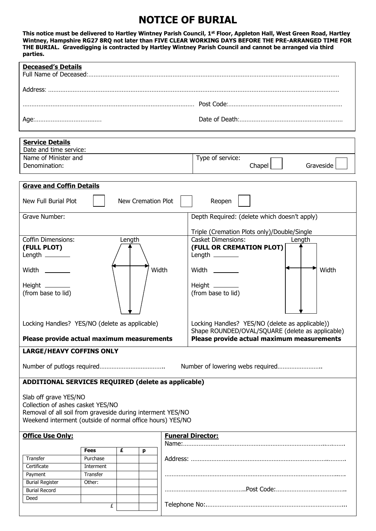# **NOTICE OF BURIAL**

**This notice must be delivered to Hartley Wintney Parish Council, 1st Floor, Appleton Hall, West Green Road, Hartley Wintney, Hampshire RG27 8RQ not later than FIVE CLEAR WORKING DAYS BEFORE THE PRE-ARRANGED TIME FOR THE BURIAL. Gravedigging is contracted by Hartley Wintney Parish Council and cannot be arranged via third parties.** 

| <b>Deceased's Details</b>                                                                                                                                                                                                                                                                                                                                                  |             |   |   |  |                                                                                                                                                                                                                                                                                                                                                                                                                     |  |  |
|----------------------------------------------------------------------------------------------------------------------------------------------------------------------------------------------------------------------------------------------------------------------------------------------------------------------------------------------------------------------------|-------------|---|---|--|---------------------------------------------------------------------------------------------------------------------------------------------------------------------------------------------------------------------------------------------------------------------------------------------------------------------------------------------------------------------------------------------------------------------|--|--|
|                                                                                                                                                                                                                                                                                                                                                                            |             |   |   |  |                                                                                                                                                                                                                                                                                                                                                                                                                     |  |  |
|                                                                                                                                                                                                                                                                                                                                                                            |             |   |   |  |                                                                                                                                                                                                                                                                                                                                                                                                                     |  |  |
|                                                                                                                                                                                                                                                                                                                                                                            |             |   |   |  |                                                                                                                                                                                                                                                                                                                                                                                                                     |  |  |
|                                                                                                                                                                                                                                                                                                                                                                            |             |   |   |  |                                                                                                                                                                                                                                                                                                                                                                                                                     |  |  |
| <b>Service Details</b><br>Date and time service:                                                                                                                                                                                                                                                                                                                           |             |   |   |  |                                                                                                                                                                                                                                                                                                                                                                                                                     |  |  |
| Name of Minister and                                                                                                                                                                                                                                                                                                                                                       |             |   |   |  | Type of service:                                                                                                                                                                                                                                                                                                                                                                                                    |  |  |
| Denomination:                                                                                                                                                                                                                                                                                                                                                              |             |   |   |  | Chapel<br>Graveside                                                                                                                                                                                                                                                                                                                                                                                                 |  |  |
| <b>Grave and Coffin Details</b>                                                                                                                                                                                                                                                                                                                                            |             |   |   |  |                                                                                                                                                                                                                                                                                                                                                                                                                     |  |  |
| New Full Burial Plot<br>New Cremation Plot<br>Reopen                                                                                                                                                                                                                                                                                                                       |             |   |   |  |                                                                                                                                                                                                                                                                                                                                                                                                                     |  |  |
| Grave Number:                                                                                                                                                                                                                                                                                                                                                              |             |   |   |  | Depth Required: (delete which doesn't apply)                                                                                                                                                                                                                                                                                                                                                                        |  |  |
|                                                                                                                                                                                                                                                                                                                                                                            |             |   |   |  |                                                                                                                                                                                                                                                                                                                                                                                                                     |  |  |
| <b>Coffin Dimensions:</b><br>Length<br>(FULL PLOT)<br>Length $\_\_\_\_\_\_\_\_\_\_\_\_$<br>Width<br>Width __________<br>Height $\_\_\_\_\_\_\_\_\_\_\_\_\$<br>(from base to lid)<br>Locking Handles? YES/NO (delete as applicable)<br>Please provide actual maximum measurements<br><b>LARGE/HEAVY COFFINS ONLY</b><br>ADDITIONAL SERVICES REQUIRED (delete as applicable) |             |   |   |  | Triple (Cremation Plots only)/Double/Single<br><b>Casket Dimensions:</b><br>Length<br>(FULL OR CREMATION PLOT)<br>Length $\_\_\_\_\_\_\_\_\_\_\_\_\$<br>Width<br>Width _________<br>Height _________<br>(from base to lid)<br>Locking Handles? YES/NO (delete as applicable))<br>Shape ROUNDED/OVAL/SQUARE (delete as applicable)<br>Please provide actual maximum measurements<br>Number of lowering webs required |  |  |
| Slab off grave YES/NO<br>Collection of ashes casket YES/NO<br>Removal of all soil from graveside during interment YES/NO<br>Weekend interment (outside of normal office hours) YES/NO                                                                                                                                                                                      |             |   |   |  |                                                                                                                                                                                                                                                                                                                                                                                                                     |  |  |
| <b>Office Use Only:</b>                                                                                                                                                                                                                                                                                                                                                    |             |   |   |  | <b>Funeral Director:</b>                                                                                                                                                                                                                                                                                                                                                                                            |  |  |
|                                                                                                                                                                                                                                                                                                                                                                            | <b>Fees</b> | £ | p |  |                                                                                                                                                                                                                                                                                                                                                                                                                     |  |  |
| Transfer                                                                                                                                                                                                                                                                                                                                                                   | Purchase    |   |   |  |                                                                                                                                                                                                                                                                                                                                                                                                                     |  |  |
| Certificate                                                                                                                                                                                                                                                                                                                                                                | Interment   |   |   |  |                                                                                                                                                                                                                                                                                                                                                                                                                     |  |  |
| Payment                                                                                                                                                                                                                                                                                                                                                                    | Transfer    |   |   |  |                                                                                                                                                                                                                                                                                                                                                                                                                     |  |  |
| <b>Burial Register</b>                                                                                                                                                                                                                                                                                                                                                     | Other:      |   |   |  |                                                                                                                                                                                                                                                                                                                                                                                                                     |  |  |
| <b>Burial Record</b>                                                                                                                                                                                                                                                                                                                                                       |             |   |   |  |                                                                                                                                                                                                                                                                                                                                                                                                                     |  |  |
| Deed<br>£                                                                                                                                                                                                                                                                                                                                                                  |             |   |   |  |                                                                                                                                                                                                                                                                                                                                                                                                                     |  |  |